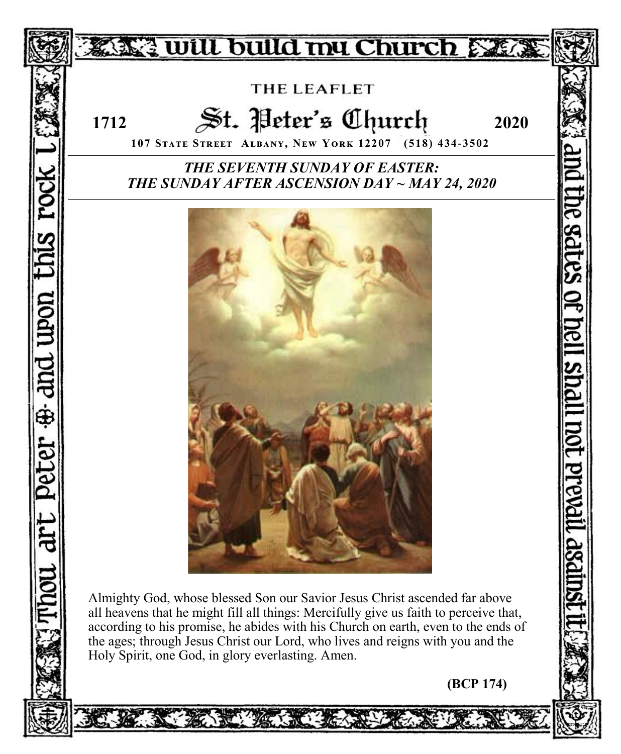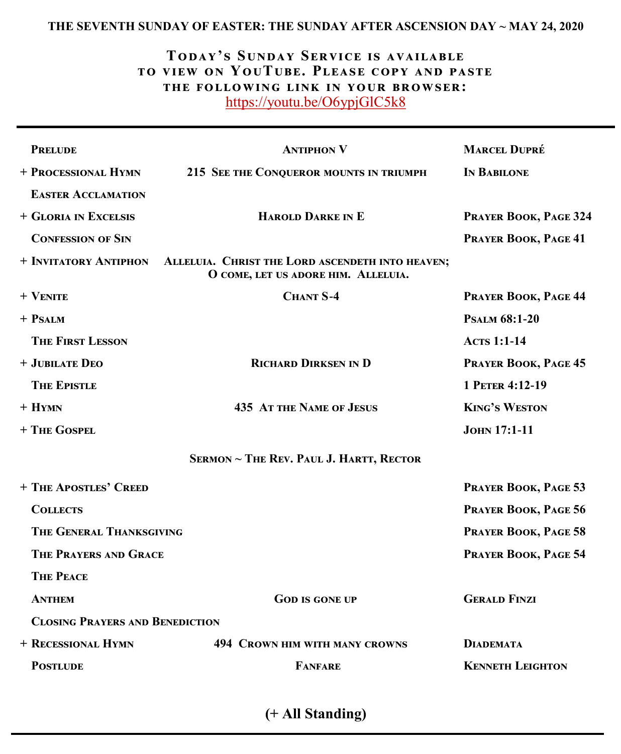### **THE SEVENTH SUNDAY OF EASTER: THE SUNDAY AFTER ASCENSION DAY ~ MAY 24, 2020**

# **Today's Sunday Service is available to view on YouTube. Please copy and paste the following link in your browser:** <https://youtu.be/O6ypjGlC5k8>

| <b>PRELUDE</b>                                 | <b>ANTIPHON V</b>                                                                       | <b>MARCEL DUPRÉ</b>     |  |  |
|------------------------------------------------|-----------------------------------------------------------------------------------------|-------------------------|--|--|
| + PROCESSIONAL HYMN                            | 215 SEE THE CONQUEROR MOUNTS IN TRIUMPH                                                 | IN BABILONE             |  |  |
| <b>EASTER ACCLAMATION</b>                      |                                                                                         |                         |  |  |
| + GLORIA IN EXCELSIS                           | <b>HAROLD DARKE IN E</b>                                                                | PRAYER BOOK, PAGE 324   |  |  |
| <b>CONFESSION OF SIN</b>                       |                                                                                         | PRAYER BOOK, PAGE 41    |  |  |
| + INVITATORY ANTIPHON                          | ALLELUIA. CHRIST THE LORD ASCENDETH INTO HEAVEN;<br>O COME, LET US ADORE HIM. ALLELUIA. |                         |  |  |
| $+$ VENITE                                     | <b>CHANT S-4</b>                                                                        | PRAYER BOOK, PAGE 44    |  |  |
| $+$ PSALM                                      |                                                                                         | <b>PSALM 68:1-20</b>    |  |  |
| <b>THE FIRST LESSON</b>                        |                                                                                         | <b>ACTS 1:1-14</b>      |  |  |
| + JUBILATE DEO                                 | <b>RICHARD DIRKSEN IN D</b>                                                             | PRAYER BOOK, PAGE 45    |  |  |
| <b>THE EPISTLE</b>                             |                                                                                         | 1 PETER 4:12-19         |  |  |
| $+$ Hymn                                       | <b>435 AT THE NAME OF JESUS</b>                                                         | <b>KING'S WESTON</b>    |  |  |
| + THE GOSPEL                                   |                                                                                         | <b>JOHN 17:1-11</b>     |  |  |
| <b>SERMON ~ THE REV. PAUL J. HARTT, RECTOR</b> |                                                                                         |                         |  |  |
| + THE APOSTLES' CREED                          |                                                                                         | PRAYER BOOK, PAGE 53    |  |  |
| <b>COLLECTS</b>                                |                                                                                         | PRAYER BOOK, PAGE 56    |  |  |
| THE GENERAL THANKSGIVING                       |                                                                                         | PRAYER BOOK, PAGE 58    |  |  |
| <b>THE PRAYERS AND GRACE</b>                   |                                                                                         | PRAYER BOOK, PAGE 54    |  |  |
| <b>THE PEACE</b>                               |                                                                                         |                         |  |  |
| <b>ANTHEM</b>                                  | <b>GOD IS GONE UP</b>                                                                   | <b>GERALD FINZI</b>     |  |  |
| <b>CLOSING PRAYERS AND BENEDICTION</b>         |                                                                                         |                         |  |  |
| + RECESSIONAL HYMN                             | <b>494 CROWN HIM WITH MANY CROWNS</b>                                                   | <b>DIADEMATA</b>        |  |  |
| <b>POSTLUDE</b>                                | <b>FANFARE</b>                                                                          | <b>KENNETH LEIGHTON</b> |  |  |
|                                                |                                                                                         |                         |  |  |

**(+ All Standing)**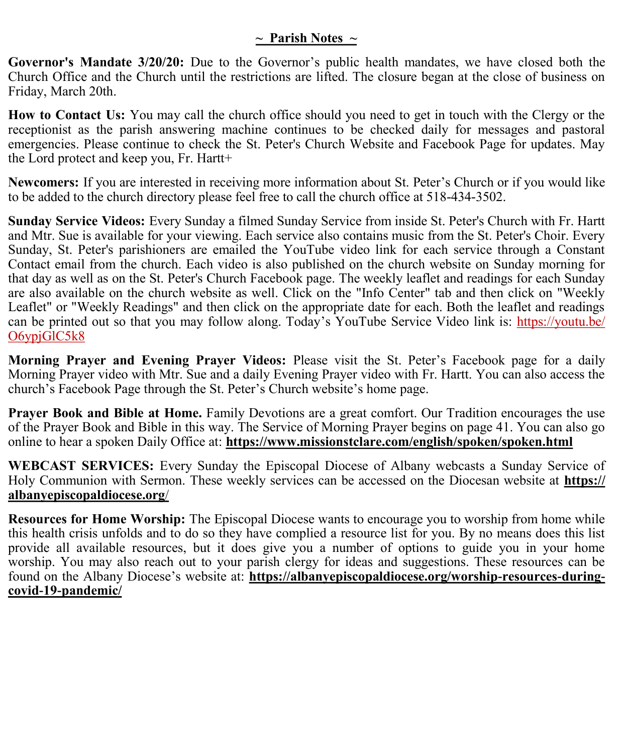## **~ Parish Notes ~**

**Governor's Mandate 3/20/20:** Due to the Governor's public health mandates, we have closed both the Church Office and the Church until the restrictions are lifted. The closure began at the close of business on Friday, March 20th.

**How to Contact Us:** You may call the church office should you need to get in touch with the Clergy or the receptionist as the parish answering machine continues to be checked daily for messages and pastoral emergencies. Please continue to check the St. Peter's Church Website and Facebook Page for updates. May the Lord protect and keep you, Fr. Hartt+

**Newcomers:** If you are interested in receiving more information about St. Peter's Church or if you would like to be added to the church directory please feel free to call the church office at 518-434-3502.

**Sunday Service Videos:** Every Sunday a filmed Sunday Service from inside St. Peter's Church with Fr. Hartt and Mtr. Sue is available for your viewing. Each service also contains music from the St. Peter's Choir. Every Sunday, St. Peter's parishioners are emailed the YouTube video link for each service through a Constant Contact email from the church. Each video is also published on the church website on Sunday morning for that day as well as on the St. Peter's Church Facebook page. The weekly leaflet and readings for each Sunday are also available on the church website as well. Click on the "Info Center" tab and then click on "Weekly Leaflet" or "Weekly Readings" and then click on the appropriate date for each. Both the leaflet and readings can be printed out so that you may follow along. Today's YouTube Service Video link is: [https://youtu.be/](https://youtu.be/O6ypjGlC5k8) [O6ypjGlC5k8](https://youtu.be/O6ypjGlC5k8)

**Morning Prayer and Evening Prayer Videos:** Please visit the St. Peter's Facebook page for a daily Morning Prayer video with Mtr. Sue and a daily Evening Prayer video with Fr. Hartt. You can also access the church's Facebook Page through the St. Peter's Church website's home page.

**Prayer Book and Bible at Home.** Family Devotions are a great comfort. Our Tradition encourages the use of the Prayer Book and Bible in this way. The Service of Morning Prayer begins on page 41. You can also go online to hear a spoken Daily Office at: **https://www.missionstclare.com/english/spoken/spoken.html** 

**WEBCAST SERVICES:** Every Sunday the Episcopal Diocese of Albany webcasts a Sunday Service of Holy Communion with Sermon. These weekly services can be accessed on the Diocesan website at **https:// albanyepiscopaldiocese.org**/

**Resources for Home Worship:** The Episcopal Diocese wants to encourage you to worship from home while this health crisis unfolds and to do so they have complied a resource list for you. By no means does this list provide all available resources, but it does give you a number of options to guide you in your home worship. You may also reach out to your parish clergy for ideas and suggestions. These resources can be found on the Albany Diocese's website at: **https://albanyepiscopaldiocese.org/worship-resources-duringcovid-19-pandemic/**